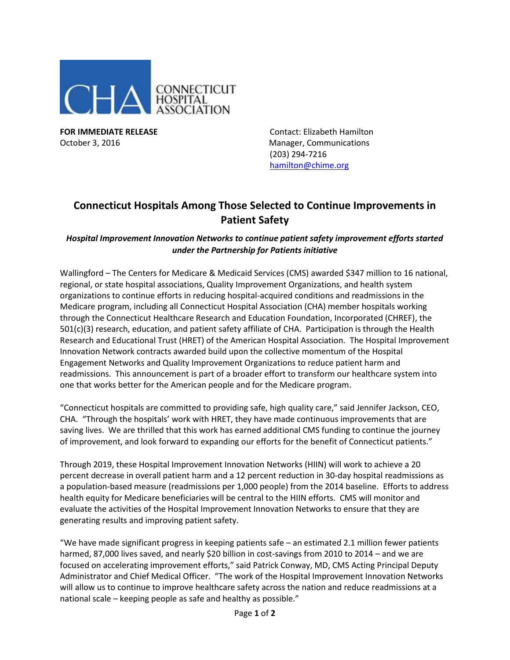

**FOR IMMEDIATE RELEASE Contact: Elizabeth Hamilton** October 3, 2016 **Manager, Communications** Manager, Communications (203) 294-7216 [hamilton@chime.org](mailto:hamilton@chime.org)

## **Connecticut Hospitals Among Those Selected to Continue Improvements in Patient Safety**

## *Hospital Improvement Innovation Networks to continue patient safety improvement efforts started under the Partnership for Patients initiative*

Wallingford – The Centers for Medicare & Medicaid Services (CMS) awarded \$347 million to 16 national, regional, or state hospital associations, Quality Improvement Organizations, and health system organizations to continue efforts in reducing hospital-acquired conditions and readmissions in the Medicare program, including all Connecticut Hospital Association (CHA) member hospitals working through the Connecticut Healthcare Research and Education Foundation, Incorporated (CHREF), the 501(c)(3) research, education, and patient safety affiliate of CHA. Participation is through the Health Research and Educational Trust (HRET) of the American Hospital Association. The Hospital Improvement Innovation Network contracts awarded build upon the collective momentum of the Hospital Engagement Networks and Quality Improvement Organizations to reduce patient harm and readmissions. This announcement is part of a broader effort to transform our healthcare system into one that works better for the American people and for the Medicare program.

"Connecticut hospitals are committed to providing safe, high quality care," said Jennifer Jackson, CEO, CHA. "Through the hospitals' work with HRET, they have made continuous improvements that are saving lives. We are thrilled that this work has earned additional CMS funding to continue the journey of improvement, and look forward to expanding our efforts for the benefit of Connecticut patients."

Through 2019, these Hospital Improvement Innovation Networks (HIIN) will work to achieve a 20 percent decrease in overall patient harm and a 12 percent reduction in 30-day hospital readmissions as a population-based measure (readmissions per 1,000 people) from the 2014 baseline. Efforts to address health equity for Medicare beneficiaries will be central to the HIIN efforts. CMS will monitor and evaluate the activities of the Hospital Improvement Innovation Networks to ensure that they are generating results and improving patient safety.

"We have made significant progress in keeping patients safe – an estimated 2.1 million fewer patients harmed, 87,000 lives saved, and nearly \$20 billion in cost-savings from 2010 to 2014 – and we are focused on accelerating improvement efforts," said Patrick Conway, MD, CMS Acting Principal Deputy Administrator and Chief Medical Officer. "The work of the Hospital Improvement Innovation Networks will allow us to continue to improve healthcare safety across the nation and reduce readmissions at a national scale – keeping people as safe and healthy as possible."